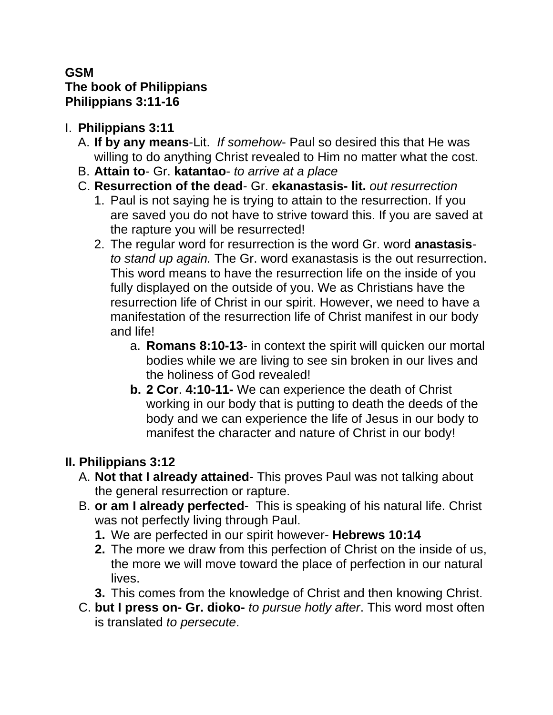#### **GSM The book of Philippians Philippians 3:11-16**

- I. **Philippians 3:11**
	- A. **If by any means**-Lit. *If somehow* Paul so desired this that He was willing to do anything Christ revealed to Him no matter what the cost.
	- B. **Attain to** Gr. **katantao** *to arrive at a place*
	- C. **Resurrection of the dead** Gr. **ekanastasis- lit.** *out resurrection*
		- 1. Paul is not saying he is trying to attain to the resurrection. If you are saved you do not have to strive toward this. If you are saved at the rapture you will be resurrected!
		- 2. The regular word for resurrection is the word Gr. word **anastasis***to stand up again.* The Gr. word exanastasis is the out resurrection. This word means to have the resurrection life on the inside of you fully displayed on the outside of you. We as Christians have the resurrection life of Christ in our spirit. However, we need to have a manifestation of the resurrection life of Christ manifest in our body and life!
			- a. **Romans 8:10-13** in context the spirit will quicken our mortal bodies while we are living to see sin broken in our lives and the holiness of God revealed!
			- **b. 2 Cor**. **4:10-11-** We can experience the death of Christ working in our body that is putting to death the deeds of the body and we can experience the life of Jesus in our body to manifest the character and nature of Christ in our body!

# **II. Philippians 3:12**

- A. **Not that I already attained** This proves Paul was not talking about the general resurrection or rapture.
- B. **or am I already perfected** This is speaking of his natural life. Christ was not perfectly living through Paul.
	- **1.** We are perfected in our spirit however- **Hebrews 10:14**
	- **2.** The more we draw from this perfection of Christ on the inside of us, the more we will move toward the place of perfection in our natural lives.
	- **3.** This comes from the knowledge of Christ and then knowing Christ.
- C. **but I press on- Gr. dioko-** *to pursue hotly after*. This word most often is translated *to persecute*.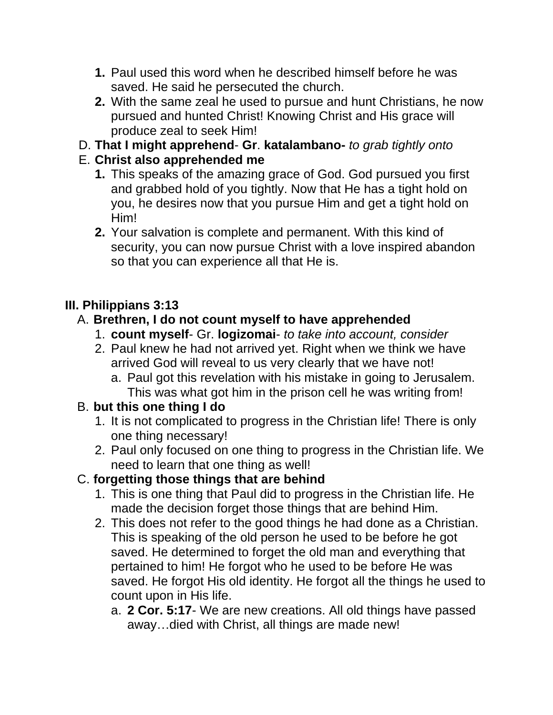- **1.** Paul used this word when he described himself before he was saved. He said he persecuted the church.
- **2.** With the same zeal he used to pursue and hunt Christians, he now pursued and hunted Christ! Knowing Christ and His grace will produce zeal to seek Him!
- D. **That I might apprehend Gr**. **katalambano-** *to grab tightly onto*

## E. **Christ also apprehended me**

- **1.** This speaks of the amazing grace of God. God pursued you first and grabbed hold of you tightly. Now that He has a tight hold on you, he desires now that you pursue Him and get a tight hold on Him!
- **2.** Your salvation is complete and permanent. With this kind of security, you can now pursue Christ with a love inspired abandon so that you can experience all that He is.

## **III. Philippians 3:13**

### A. **Brethren, I do not count myself to have apprehended**

- 1. **count myself** Gr. **logizomai** *to take into account, consider*
- 2. Paul knew he had not arrived yet. Right when we think we have arrived God will reveal to us very clearly that we have not!
	- a. Paul got this revelation with his mistake in going to Jerusalem. This was what got him in the prison cell he was writing from!

### B. **but this one thing I do**

- 1. It is not complicated to progress in the Christian life! There is only one thing necessary!
- 2. Paul only focused on one thing to progress in the Christian life. We need to learn that one thing as well!

# C. **forgetting those things that are behind**

- 1. This is one thing that Paul did to progress in the Christian life. He made the decision forget those things that are behind Him.
- 2. This does not refer to the good things he had done as a Christian. This is speaking of the old person he used to be before he got saved. He determined to forget the old man and everything that pertained to him! He forgot who he used to be before He was saved. He forgot His old identity. He forgot all the things he used to count upon in His life.
	- a. **2 Cor. 5:17** We are new creations. All old things have passed away…died with Christ, all things are made new!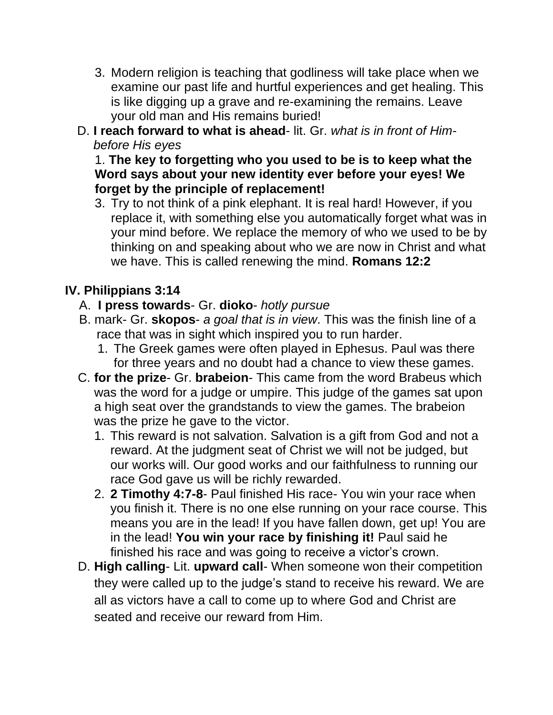- 3. Modern religion is teaching that godliness will take place when we examine our past life and hurtful experiences and get healing. This is like digging up a grave and re-examining the remains. Leave your old man and His remains buried!
- D. **I reach forward to what is ahead** lit. Gr. *what is in front of Himbefore His eyes*

1. **The key to forgetting who you used to be is to keep what the Word says about your new identity ever before your eyes! We forget by the principle of replacement!** 

3. Try to not think of a pink elephant. It is real hard! However, if you replace it, with something else you automatically forget what was in your mind before. We replace the memory of who we used to be by thinking on and speaking about who we are now in Christ and what we have. This is called renewing the mind. **Romans 12:2**

### **IV. Philippians 3:14**

- A. **I press towards** Gr. **dioko** *hotly pursue*
- B. mark- Gr. **skopos** *a goal that is in view*. This was the finish line of a race that was in sight which inspired you to run harder.
	- 1. The Greek games were often played in Ephesus. Paul was there for three years and no doubt had a chance to view these games.
- C. **for the prize** Gr. **brabeion** This came from the word Brabeus which was the word for a judge or umpire. This judge of the games sat upon a high seat over the grandstands to view the games. The brabeion was the prize he gave to the victor.
	- 1. This reward is not salvation. Salvation is a gift from God and not a reward. At the judgment seat of Christ we will not be judged, but our works will. Our good works and our faithfulness to running our race God gave us will be richly rewarded.
	- 2. **2 Timothy 4:7-8** Paul finished His race- You win your race when you finish it. There is no one else running on your race course. This means you are in the lead! If you have fallen down, get up! You are in the lead! **You win your race by finishing it!** Paul said he finished his race and was going to receive a victor's crown.
- D. **High calling** Lit. **upward call** When someone won their competition they were called up to the judge's stand to receive his reward. We are all as victors have a call to come up to where God and Christ are seated and receive our reward from Him.